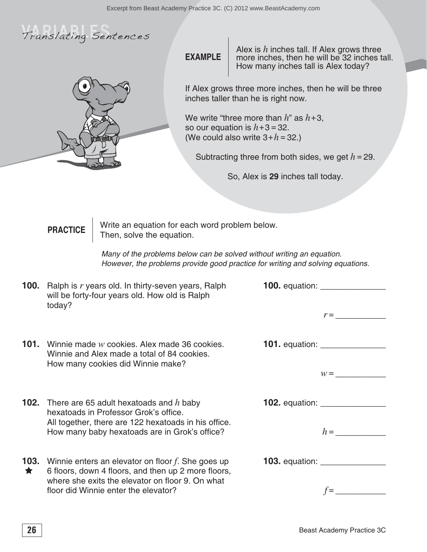



**EXAMPLE**

Alex is *h* inches tall. If Alex grows three more inches, then he will be 32 inches tall. How many inches tall is Alex today?

If Alex grows three more inches, then he will be three inches taller than he is right now.

We write "three more than *h*" as *h*+3, so our equation is  $h+3=32$ . (We could also write  $3+h=32$ .)

Subtracting three from both sides, we get *h*=29.

So, Alex is **29** inches tall today.

## **PRACTICE** rite an equation for each word problem below. Then, solve the equation.

Many of the problems below can be solved without writing an equation. However, the problems provide good practice for writing and solving equations.

| 100.            | Ralph is r years old. In thirty-seven years, Ralph<br>will be forty-four years old. How old is Ralph                                                   |                                  |
|-----------------|--------------------------------------------------------------------------------------------------------------------------------------------------------|----------------------------------|
|                 | today?                                                                                                                                                 | $r =$                            |
| 101.            | Winnie made w cookies. Alex made 36 cookies.<br>Winnie and Alex made a total of 84 cookies.<br>How many cookies did Winnie make?                       |                                  |
|                 |                                                                                                                                                        | $W =$                            |
|                 | <b>102.</b> There are 65 adult hexatoads and $h$ baby<br>hexatoads in Professor Grok's office.<br>All together, there are 122 hexatoads in his office. | <b>102.</b> equation: __________ |
|                 | How many baby hexatoads are in Grok's office?                                                                                                          | $h =$                            |
| 103.<br>$\star$ | Winnie enters an elevator on floor $f$ . She goes up<br>6 floors, down 4 floors, and then up 2 more floors,                                            |                                  |
|                 | where she exits the elevator on floor 9. On what<br>floor did Winnie enter the elevator?                                                               |                                  |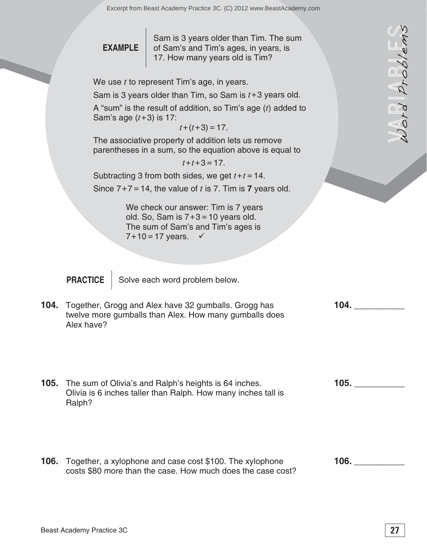**EXAMPLE**

Sam is 3 years older than Tim. The sum of Sam's and Tim's ages, in years, is 17. How many years old is Tim?

We use *t* to represent Tim's age, in years.

Sam is 3 years older than Tim, so Sam is *t*+3 years old.

A "sum" is the result of addition, so Tim's age (*t*) added to Sam's age  $(t+3)$  is 17:

 $t+(t+3)=17$ .

The associative property of addition lets us remove parentheses in a sum, so the equation above is equal to

 $t + t + 3 = 17$ .

Subtracting 3 from both sides, we get  $t + t = 14$ . Since  $7+7 = 14$ , the value of t is 7. Tim is 7 years old.

> We check our answer: Tim is 7 years old. So, Sam is  $7+3=10$  years old. The sum of Sam's and Tim's ages is  $7 + 10 = 17$  years.  $\checkmark$

**PRACTICE** Solve each word problem below.

- **104.** Together, Grogg and Alex have 32 gumballs. Grogg has twelve more gumballs than Alex. How many gumballs does Alex have?
- **EXAMPLE** Sam is 3 years older than Tim. The sum<br>
We use r to menose in Tim's age, in years.<br>
We use r to menose that Tim's age, in years.<br>
Sam is 9 years older than Tim, so Sam is r+3 years old.<br>
A "sum" is the next of d **105. \_\_\_\_\_\_\_\_\_\_ 105.** The sum of Olivia's and Ralph's heights is 64 inches. Olivia is 6 inches taller than Ralph. How many inches tall is Ralph?
- **106. \_\_\_\_\_\_\_\_\_\_ 106.** Together, a xylophone and case cost \$100. The xylophone costs \$80 more than the case. How much does the case cost?

**104. \_\_\_\_\_\_\_\_\_\_**